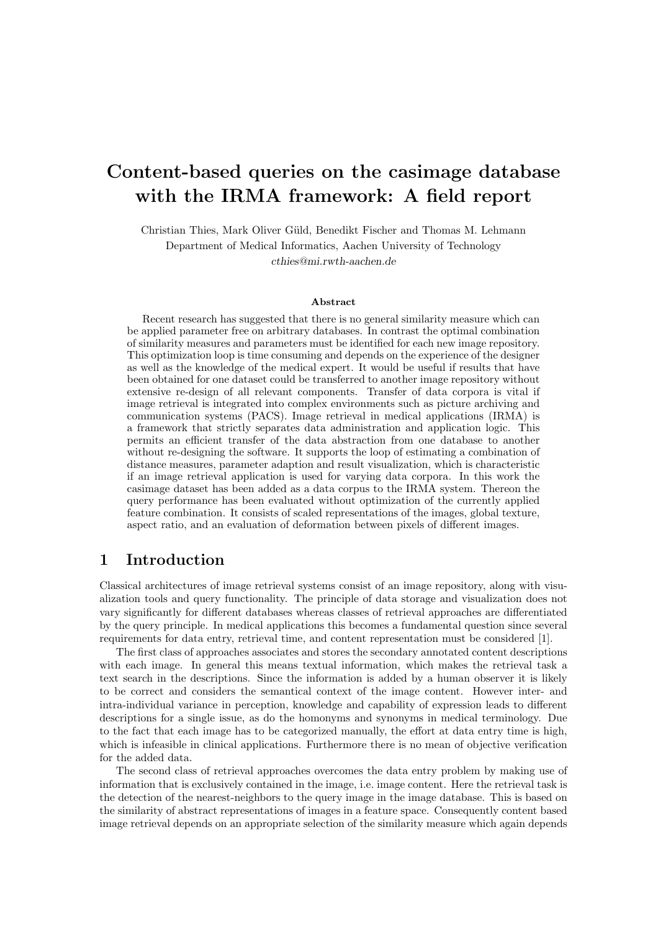# Content-based queries on the casimage database with the IRMA framework: A field report

Christian Thies, Mark Oliver Güld, Benedikt Fischer and Thomas M. Lehmann Department of Medical Informatics, Aachen University of Technology cthies@mi.rwth-aachen.de

#### Abstract

Recent research has suggested that there is no general similarity measure which can be applied parameter free on arbitrary databases. In contrast the optimal combination of similarity measures and parameters must be identified for each new image repository. This optimization loop is time consuming and depends on the experience of the designer as well as the knowledge of the medical expert. It would be useful if results that have been obtained for one dataset could be transferred to another image repository without extensive re-design of all relevant components. Transfer of data corpora is vital if image retrieval is integrated into complex environments such as picture archiving and communication systems (PACS). Image retrieval in medical applications (IRMA) is a framework that strictly separates data administration and application logic. This permits an efficient transfer of the data abstraction from one database to another without re-designing the software. It supports the loop of estimating a combination of distance measures, parameter adaption and result visualization, which is characteristic if an image retrieval application is used for varying data corpora. In this work the casimage dataset has been added as a data corpus to the IRMA system. Thereon the query performance has been evaluated without optimization of the currently applied feature combination. It consists of scaled representations of the images, global texture, aspect ratio, and an evaluation of deformation between pixels of different images.

# 1 Introduction

Classical architectures of image retrieval systems consist of an image repository, along with visualization tools and query functionality. The principle of data storage and visualization does not vary significantly for different databases whereas classes of retrieval approaches are differentiated by the query principle. In medical applications this becomes a fundamental question since several requirements for data entry, retrieval time, and content representation must be considered [1].

The first class of approaches associates and stores the secondary annotated content descriptions with each image. In general this means textual information, which makes the retrieval task a text search in the descriptions. Since the information is added by a human observer it is likely to be correct and considers the semantical context of the image content. However inter- and intra-individual variance in perception, knowledge and capability of expression leads to different descriptions for a single issue, as do the homonyms and synonyms in medical terminology. Due to the fact that each image has to be categorized manually, the effort at data entry time is high, which is infeasible in clinical applications. Furthermore there is no mean of objective verification for the added data.

The second class of retrieval approaches overcomes the data entry problem by making use of information that is exclusively contained in the image, i.e. image content. Here the retrieval task is the detection of the nearest-neighbors to the query image in the image database. This is based on the similarity of abstract representations of images in a feature space. Consequently content based image retrieval depends on an appropriate selection of the similarity measure which again depends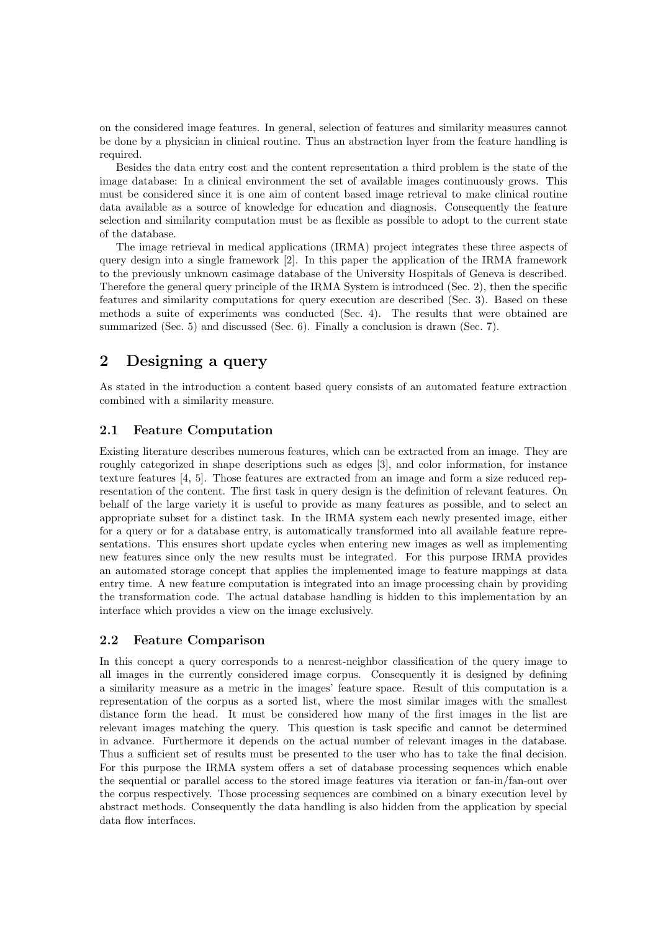on the considered image features. In general, selection of features and similarity measures cannot be done by a physician in clinical routine. Thus an abstraction layer from the feature handling is required.

Besides the data entry cost and the content representation a third problem is the state of the image database: In a clinical environment the set of available images continuously grows. This must be considered since it is one aim of content based image retrieval to make clinical routine data available as a source of knowledge for education and diagnosis. Consequently the feature selection and similarity computation must be as flexible as possible to adopt to the current state of the database.

The image retrieval in medical applications (IRMA) project integrates these three aspects of query design into a single framework [2]. In this paper the application of the IRMA framework to the previously unknown casimage database of the University Hospitals of Geneva is described. Therefore the general query principle of the IRMA System is introduced (Sec. 2), then the specific features and similarity computations for query execution are described (Sec. 3). Based on these methods a suite of experiments was conducted (Sec. 4). The results that were obtained are summarized (Sec. 5) and discussed (Sec. 6). Finally a conclusion is drawn (Sec. 7).

# 2 Designing a query

As stated in the introduction a content based query consists of an automated feature extraction combined with a similarity measure.

## 2.1 Feature Computation

Existing literature describes numerous features, which can be extracted from an image. They are roughly categorized in shape descriptions such as edges [3], and color information, for instance texture features [4, 5]. Those features are extracted from an image and form a size reduced representation of the content. The first task in query design is the definition of relevant features. On behalf of the large variety it is useful to provide as many features as possible, and to select an appropriate subset for a distinct task. In the IRMA system each newly presented image, either for a query or for a database entry, is automatically transformed into all available feature representations. This ensures short update cycles when entering new images as well as implementing new features since only the new results must be integrated. For this purpose IRMA provides an automated storage concept that applies the implemented image to feature mappings at data entry time. A new feature computation is integrated into an image processing chain by providing the transformation code. The actual database handling is hidden to this implementation by an interface which provides a view on the image exclusively.

#### 2.2 Feature Comparison

In this concept a query corresponds to a nearest-neighbor classification of the query image to all images in the currently considered image corpus. Consequently it is designed by defining a similarity measure as a metric in the images' feature space. Result of this computation is a representation of the corpus as a sorted list, where the most similar images with the smallest distance form the head. It must be considered how many of the first images in the list are relevant images matching the query. This question is task specific and cannot be determined in advance. Furthermore it depends on the actual number of relevant images in the database. Thus a sufficient set of results must be presented to the user who has to take the final decision. For this purpose the IRMA system offers a set of database processing sequences which enable the sequential or parallel access to the stored image features via iteration or fan-in/fan-out over the corpus respectively. Those processing sequences are combined on a binary execution level by abstract methods. Consequently the data handling is also hidden from the application by special data flow interfaces.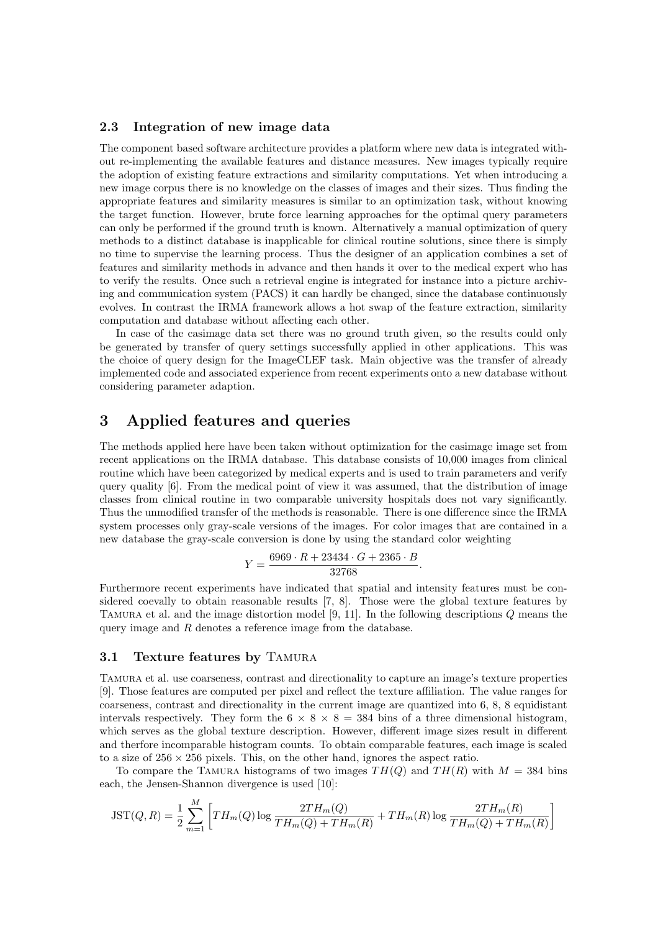#### 2.3 Integration of new image data

The component based software architecture provides a platform where new data is integrated without re-implementing the available features and distance measures. New images typically require the adoption of existing feature extractions and similarity computations. Yet when introducing a new image corpus there is no knowledge on the classes of images and their sizes. Thus finding the appropriate features and similarity measures is similar to an optimization task, without knowing the target function. However, brute force learning approaches for the optimal query parameters can only be performed if the ground truth is known. Alternatively a manual optimization of query methods to a distinct database is inapplicable for clinical routine solutions, since there is simply no time to supervise the learning process. Thus the designer of an application combines a set of features and similarity methods in advance and then hands it over to the medical expert who has to verify the results. Once such a retrieval engine is integrated for instance into a picture archiving and communication system (PACS) it can hardly be changed, since the database continuously evolves. In contrast the IRMA framework allows a hot swap of the feature extraction, similarity computation and database without affecting each other.

In case of the casimage data set there was no ground truth given, so the results could only be generated by transfer of query settings successfully applied in other applications. This was the choice of query design for the ImageCLEF task. Main objective was the transfer of already implemented code and associated experience from recent experiments onto a new database without considering parameter adaption.

# 3 Applied features and queries

The methods applied here have been taken without optimization for the casimage image set from recent applications on the IRMA database. This database consists of 10,000 images from clinical routine which have been categorized by medical experts and is used to train parameters and verify query quality  $[6]$ . From the medical point of view it was assumed, that the distribution of image classes from clinical routine in two comparable university hospitals does not vary significantly. Thus the unmodified transfer of the methods is reasonable. There is one difference since the IRMA system processes only gray-scale versions of the images. For color images that are contained in a new database the gray-scale conversion is done by using the standard color weighting

$$
Y = \frac{6969 \cdot R + 23434 \cdot G + 2365 \cdot B}{32768}.
$$

Furthermore recent experiments have indicated that spatial and intensity features must be considered coevally to obtain reasonable results [7, 8]. Those were the global texture features by Tamura et al. and the image distortion model [9, 11]. In the following descriptions Q means the query image and R denotes a reference image from the database.

#### 3.1 Texture features by TAMURA

Tamura et al. use coarseness, contrast and directionality to capture an image's texture properties [9]. Those features are computed per pixel and reflect the texture affiliation. The value ranges for coarseness, contrast and directionality in the current image are quantized into 6, 8, 8 equidistant intervals respectively. They form the  $6 \times 8 \times 8 = 384$  bins of a three dimensional histogram, which serves as the global texture description. However, different image sizes result in different and therfore incomparable histogram counts. To obtain comparable features, each image is scaled to a size of  $256 \times 256$  pixels. This, on the other hand, ignores the aspect ratio.

To compare the TAMURA histograms of two images  $TH(O)$  and  $TH(R)$  with  $M = 384$  bins each, the Jensen-Shannon divergence is used [10]:

$$
\text{JST}(Q, R) = \frac{1}{2} \sum_{m=1}^{M} \left[ TH_m(Q) \log \frac{2TH_m(Q)}{TH_m(Q) + TH_m(R)} + TH_m(R) \log \frac{2TH_m(R)}{TH_m(Q) + TH_m(R)} \right]
$$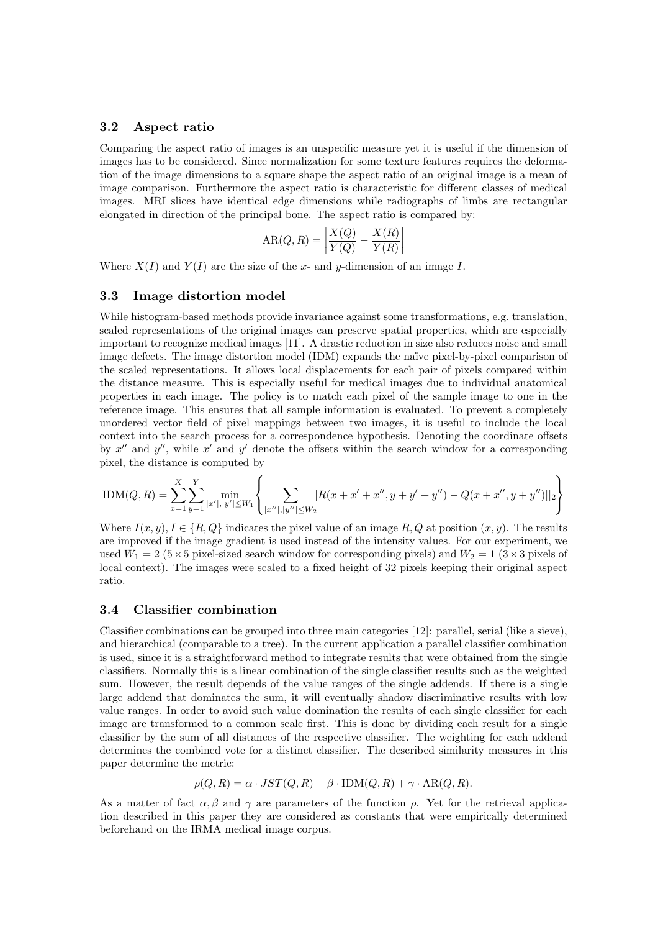#### 3.2 Aspect ratio

Comparing the aspect ratio of images is an unspecific measure yet it is useful if the dimension of images has to be considered. Since normalization for some texture features requires the deformation of the image dimensions to a square shape the aspect ratio of an original image is a mean of image comparison. Furthermore the aspect ratio is characteristic for different classes of medical images. MRI slices have identical edge dimensions while radiographs of limbs are rectangular elongated in direction of the principal bone. The aspect ratio is compared by:

$$
AR(Q, R) = \left| \frac{X(Q)}{Y(Q)} - \frac{X(R)}{Y(R)} \right|
$$

Where  $X(I)$  and  $Y(I)$  are the size of the x- and y-dimension of an image I.

#### 3.3 Image distortion model

While histogram-based methods provide invariance against some transformations, e.g. translation, scaled representations of the original images can preserve spatial properties, which are especially important to recognize medical images [11]. A drastic reduction in size also reduces noise and small image defects. The image distortion model (IDM) expands the naïve pixel-by-pixel comparison of the scaled representations. It allows local displacements for each pair of pixels compared within the distance measure. This is especially useful for medical images due to individual anatomical properties in each image. The policy is to match each pixel of the sample image to one in the reference image. This ensures that all sample information is evaluated. To prevent a completely unordered vector field of pixel mappings between two images, it is useful to include the local context into the search process for a correspondence hypothesis. Denoting the coordinate offsets by  $x''$  and  $y''$ , while  $x'$  and  $y'$  denote the offsets within the search window for a corresponding pixel, the distance is computed by

$$
\text{IDM}(Q, R) = \sum_{x=1}^{X} \sum_{y=1}^{Y} \min_{|x'|, |y'| \le W_1} \left\{ \sum_{|x''|, |y''| \le W_2} \left| |R(x+x'+x'', y+y'+y'') - Q(x+x'', y+y'')| \right|_2 \right\}
$$

Where  $I(x, y)$ ,  $I \in \{R, Q\}$  indicates the pixel value of an image R, Q at position  $(x, y)$ . The results are improved if the image gradient is used instead of the intensity values. For our experiment, we used  $W_1 = 2$  (5 × 5 pixel-sized search window for corresponding pixels) and  $W_2 = 1$  (3 × 3 pixels of local context). The images were scaled to a fixed height of 32 pixels keeping their original aspect ratio.

#### 3.4 Classifier combination

Classifier combinations can be grouped into three main categories [12]: parallel, serial (like a sieve), and hierarchical (comparable to a tree). In the current application a parallel classifier combination is used, since it is a straightforward method to integrate results that were obtained from the single classifiers. Normally this is a linear combination of the single classifier results such as the weighted sum. However, the result depends of the value ranges of the single addends. If there is a single large addend that dominates the sum, it will eventually shadow discriminative results with low value ranges. In order to avoid such value domination the results of each single classifier for each image are transformed to a common scale first. This is done by dividing each result for a single classifier by the sum of all distances of the respective classifier. The weighting for each addend determines the combined vote for a distinct classifier. The described similarity measures in this paper determine the metric:

$$
\rho(Q, R) = \alpha \cdot JST(Q, R) + \beta \cdot \text{IDM}(Q, R) + \gamma \cdot \text{AR}(Q, R).
$$

As a matter of fact  $\alpha, \beta$  and  $\gamma$  are parameters of the function  $\rho$ . Yet for the retrieval application described in this paper they are considered as constants that were empirically determined beforehand on the IRMA medical image corpus.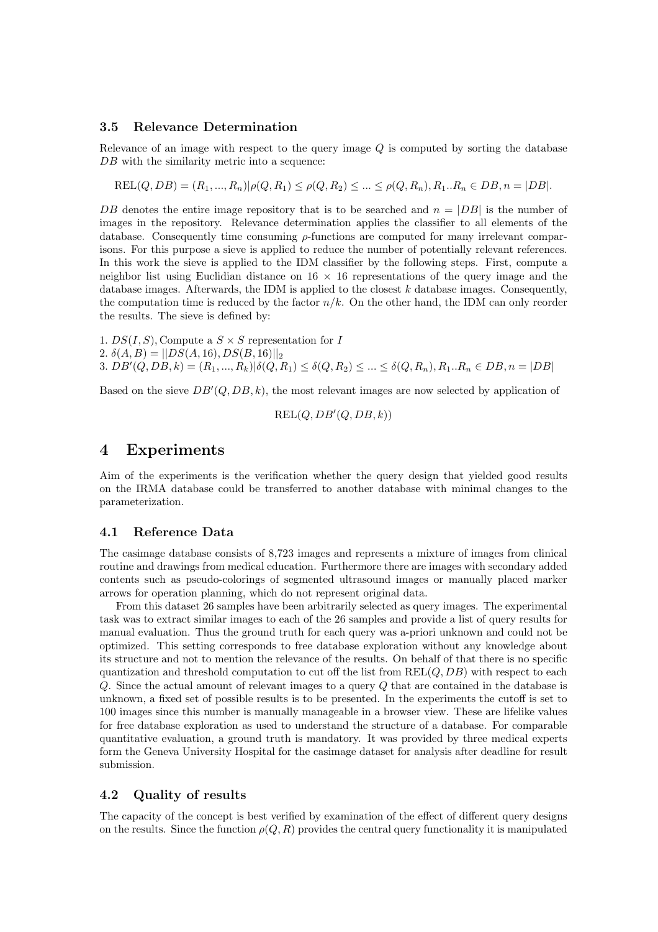## 3.5 Relevance Determination

Relevance of an image with respect to the query image Q is computed by sorting the database DB with the similarity metric into a sequence:

$$
REL(Q, DB) = (R_1, ..., R_n) | \rho(Q, R_1) \leq \rho(Q, R_2) \leq ... \leq \rho(Q, R_n), R_1...R_n \in DB, n = |DB|.
$$

DB denotes the entire image repository that is to be searched and  $n = |DB|$  is the number of images in the repository. Relevance determination applies the classifier to all elements of the database. Consequently time consuming  $\rho$ -functions are computed for many irrelevant comparisons. For this purpose a sieve is applied to reduce the number of potentially relevant references. In this work the sieve is applied to the IDM classifier by the following steps. First, compute a neighbor list using Euclidian distance on  $16 \times 16$  representations of the query image and the database images. Afterwards, the IDM is applied to the closest  $k$  database images. Consequently, the computation time is reduced by the factor  $n/k$ . On the other hand, the IDM can only reorder the results. The sieve is defined by:

1.  $DS(I, S)$ , Compute a  $S \times S$  representation for I 2.  $\delta(A, B) = ||DS(A, 16), DS(B, 16)||_2$ 3.  $DB'(Q, DB, k) = (R_1, ..., R_k) | \delta(Q, R_1) \leq \delta(Q, R_2) \leq ... \leq \delta(Q, R_n), R_1 ... R_n \in DB, n = |DB|$ 

Based on the sieve  $DB'(Q, DB, k)$ , the most relevant images are now selected by application of

$$
\operatorname{REL}(Q, DB'(Q, DB, k))
$$

# 4 Experiments

Aim of the experiments is the verification whether the query design that yielded good results on the IRMA database could be transferred to another database with minimal changes to the parameterization.

## 4.1 Reference Data

The casimage database consists of 8,723 images and represents a mixture of images from clinical routine and drawings from medical education. Furthermore there are images with secondary added contents such as pseudo-colorings of segmented ultrasound images or manually placed marker arrows for operation planning, which do not represent original data.

From this dataset 26 samples have been arbitrarily selected as query images. The experimental task was to extract similar images to each of the 26 samples and provide a list of query results for manual evaluation. Thus the ground truth for each query was a-priori unknown and could not be optimized. This setting corresponds to free database exploration without any knowledge about its structure and not to mention the relevance of the results. On behalf of that there is no specific quantization and threshold computation to cut off the list from  $REL(Q, DB)$  with respect to each Q. Since the actual amount of relevant images to a query Q that are contained in the database is unknown, a fixed set of possible results is to be presented. In the experiments the cutoff is set to 100 images since this number is manually manageable in a browser view. These are lifelike values for free database exploration as used to understand the structure of a database. For comparable quantitative evaluation, a ground truth is mandatory. It was provided by three medical experts form the Geneva University Hospital for the casimage dataset for analysis after deadline for result submission.

## 4.2 Quality of results

The capacity of the concept is best verified by examination of the effect of different query designs on the results. Since the function  $\rho(Q, R)$  provides the central query functionality it is manipulated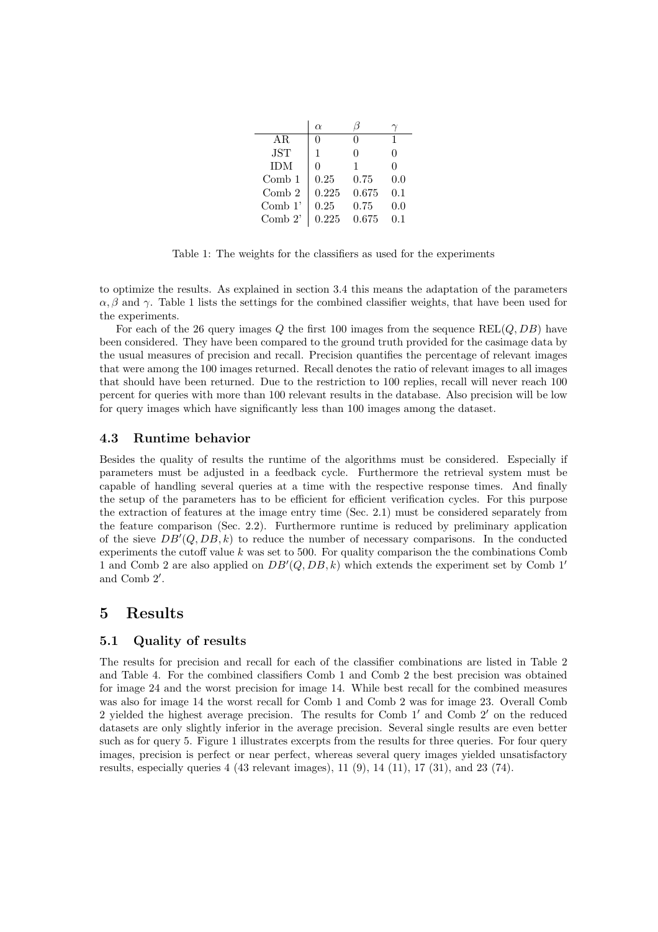|            | $\alpha$ |          |     |
|------------|----------|----------|-----|
| AR.        | 0        | $\Omega$ | 1   |
| <b>JST</b> | 1        | O        | 0   |
| <b>IDM</b> | $\Omega$ | 1        | 0   |
| Comb 1     | 0.25     | 0.75     | 0.0 |
| Comb 2     | 0.225    | 0.675    | 0.1 |
| Comb $1'$  | 0.25     | 0.75     | 0.0 |
| Comb $2$ ' | 0.225    | 0.675    | በ 1 |

Table 1: The weights for the classifiers as used for the experiments

to optimize the results. As explained in section 3.4 this means the adaptation of the parameters  $\alpha, \beta$  and  $\gamma$ . Table 1 lists the settings for the combined classifier weights, that have been used for the experiments.

For each of the 26 query images Q the first 100 images from the sequence  $REL(Q, DB)$  have been considered. They have been compared to the ground truth provided for the casimage data by the usual measures of precision and recall. Precision quantifies the percentage of relevant images that were among the 100 images returned. Recall denotes the ratio of relevant images to all images that should have been returned. Due to the restriction to 100 replies, recall will never reach 100 percent for queries with more than 100 relevant results in the database. Also precision will be low for query images which have significantly less than 100 images among the dataset.

#### 4.3 Runtime behavior

Besides the quality of results the runtime of the algorithms must be considered. Especially if parameters must be adjusted in a feedback cycle. Furthermore the retrieval system must be capable of handling several queries at a time with the respective response times. And finally the setup of the parameters has to be efficient for efficient verification cycles. For this purpose the extraction of features at the image entry time (Sec. 2.1) must be considered separately from the feature comparison (Sec. 2.2). Furthermore runtime is reduced by preliminary application of the sieve  $DB'(Q, DB, k)$  to reduce the number of necessary comparisons. In the conducted experiments the cutoff value  $k$  was set to 500. For quality comparison the the combinations Comb 1 and Comb 2 are also applied on  $DB'(Q, DB, k)$  which extends the experiment set by Comb 1' and Comb 2′ .

# 5 Results

## 5.1 Quality of results

The results for precision and recall for each of the classifier combinations are listed in Table 2 and Table 4. For the combined classifiers Comb 1 and Comb 2 the best precision was obtained for image 24 and the worst precision for image 14. While best recall for the combined measures was also for image 14 the worst recall for Comb 1 and Comb 2 was for image 23. Overall Comb 2 yielded the highest average precision. The results for Comb 1′ and Comb 2′ on the reduced datasets are only slightly inferior in the average precision. Several single results are even better such as for query 5. Figure 1 illustrates excerpts from the results for three queries. For four query images, precision is perfect or near perfect, whereas several query images yielded unsatisfactory results, especially queries 4 (43 relevant images), 11 (9), 14 (11), 17 (31), and 23 (74).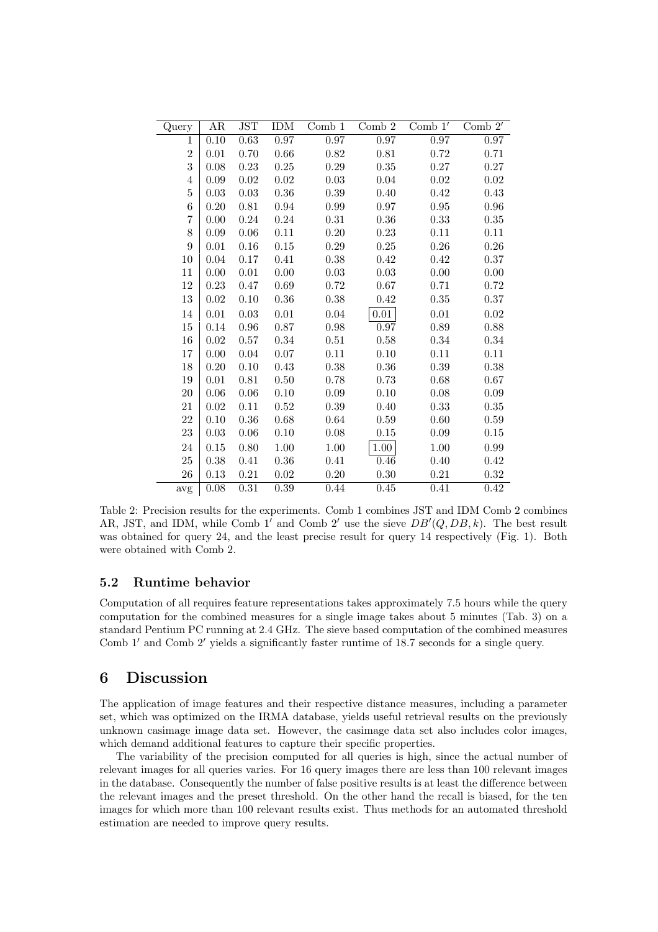| Query          | AR                | JST        | <b>IDM</b> | $Comb_1$ | Comb 2            | Comb $1'$ | Comb $2'$ |
|----------------|-------------------|------------|------------|----------|-------------------|-----------|-----------|
| $\mathbf 1$    | $\overline{0.10}$ | 0.63       | 0.97       | 0.97     | 0.97              | 0.97      | 0.97      |
| $\overline{2}$ | 0.01              | 0.70       | $0.66\,$   | $0.82\,$ | $0.81\,$          | 0.72      | 0.71      |
| 3              | 0.08              | 0.23       | 0.25       | 0.29     | $0.35\,$          | 0.27      | 0.27      |
| $\overline{4}$ | 0.09              | 0.02       | 0.02       | 0.03     | 0.04              | 0.02      | 0.02      |
| $\overline{5}$ | 0.03              | 0.03       | 0.36       | 0.39     | 0.40              | 0.42      | 0.43      |
| $\,6$          | 0.20              | 0.81       | 0.94       | 0.99     | 0.97              | 0.95      | $0.96\,$  |
| $\overline{7}$ | 0.00              | 0.24       | 0.24       | 0.31     | 0.36              | 0.33      | 0.35      |
| 8              | 0.09              | 0.06       | 0.11       | 0.20     | 0.23              | 0.11      | 0.11      |
| 9              | 0.01              | 0.16       | 0.15       | 0.29     | 0.25              | 0.26      | 0.26      |
| 10             | 0.04              | 0.17       | 0.41       | 0.38     | 0.42              | 0.42      | 0.37      |
| 11             | 0.00              | 0.01       | 0.00       | 0.03     | $\,0.03\,$        | 0.00      | 0.00      |
| 12             | 0.23              | 0.47       | 0.69       | 0.72     | 0.67              | 0.71      | 0.72      |
| 13             | 0.02              | 0.10       | 0.36       | 0.38     | 0.42              | 0.35      | 0.37      |
| 14             | $0.01\,$          | 0.03       | 0.01       | 0.04     | 0.01              | 0.01      | 0.02      |
| 15             | 0.14              | $\rm 0.96$ | 0.87       | $0.98\,$ | $0.97\,$          | 0.89      | 0.88      |
| 16             | 0.02              | 0.57       | 0.34       | 0.51     | 0.58              | 0.34      | 0.34      |
| $17\,$         | 0.00              | 0.04       | 0.07       | 0.11     | 0.10              | 0.11      | 0.11      |
| 18             | 0.20              | 0.10       | 0.43       | $0.38\,$ | 0.36              | 0.39      | 0.38      |
| 19             | 0.01              | 0.81       | 0.50       | 0.78     | 0.73              | 0.68      | 0.67      |
| $20\,$         | 0.06              | 0.06       | $0.10\,$   | 0.09     | $0.10\,$          | 0.08      | $0.09\,$  |
| 21             | 0.02              | 0.11       | 0.52       | 0.39     | 0.40              | 0.33      | 0.35      |
| $22\,$         | 0.10              | 0.36       | 0.68       | 0.64     | 0.59              | 0.60      | 0.59      |
| $23\,$         | 0.03              | 0.06       | 0.10       | 0.08     | 0.15              | 0.09      | 0.15      |
| 24             | 0.15              | 0.80       | 1.00       | $1.00\,$ | 1.00              | 1.00      | 0.99      |
| 25             | 0.38              | 0.41       | $0.36\,$   | 0.41     | $\overline{0.46}$ | 0.40      | 0.42      |
| $26\,$         | 0.13              | 0.21       | 0.02       | 0.20     | $0.30\,$          | 0.21      | 0.32      |
| avg            | 0.08              | 0.31       | 0.39       | 0.44     | 0.45              | 0.41      | 0.42      |

Table 2: Precision results for the experiments. Comb 1 combines JST and IDM Comb 2 combines AR, JST, and IDM, while Comb 1' and Comb 2' use the sieve  $DB'(Q, DB, k)$ . The best result was obtained for query 24, and the least precise result for query 14 respectively (Fig. 1). Both were obtained with Comb 2.

## 5.2 Runtime behavior

Computation of all requires feature representations takes approximately 7.5 hours while the query computation for the combined measures for a single image takes about 5 minutes (Tab. 3) on a standard Pentium PC running at 2.4 GHz. The sieve based computation of the combined measures Comb 1′ and Comb 2′ yields a significantly faster runtime of 18.7 seconds for a single query.

# 6 Discussion

The application of image features and their respective distance measures, including a parameter set, which was optimized on the IRMA database, yields useful retrieval results on the previously unknown casimage image data set. However, the casimage data set also includes color images, which demand additional features to capture their specific properties.

The variability of the precision computed for all queries is high, since the actual number of relevant images for all queries varies. For 16 query images there are less than 100 relevant images in the database. Consequently the number of false positive results is at least the difference between the relevant images and the preset threshold. On the other hand the recall is biased, for the ten images for which more than 100 relevant results exist. Thus methods for an automated threshold estimation are needed to improve query results.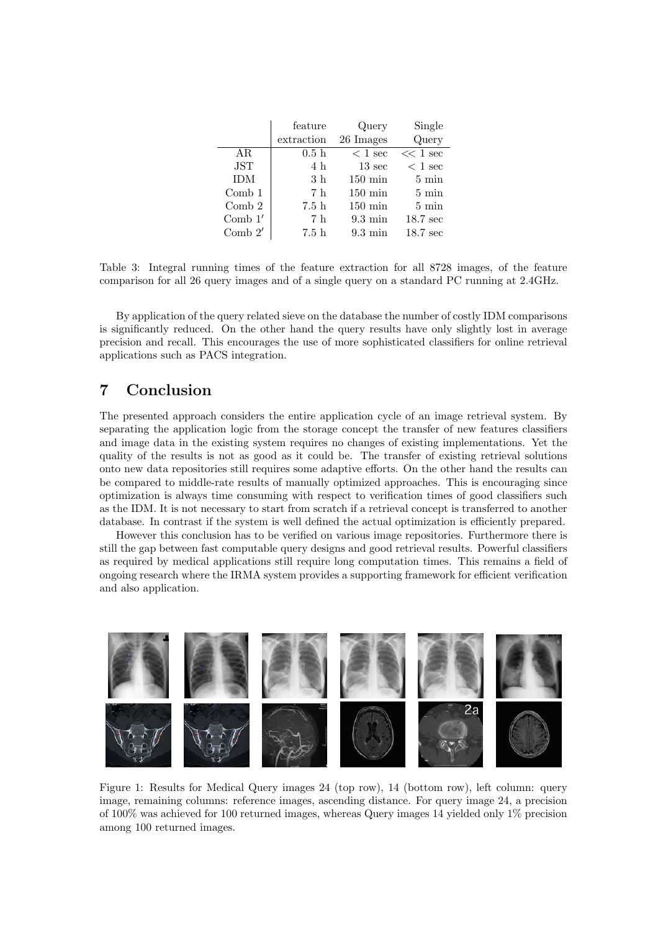|            | feature    | Query             | Single             |
|------------|------------|-------------------|--------------------|
|            | extraction | 26 Images         | Query              |
| AR.        | 0.5h       | $< 1$ sec         | $<< 1$ sec         |
| <b>JST</b> | 4 h        | $13 \text{ sec}$  | $< 1$ sec          |
| <b>IDM</b> | 3h         | $150 \text{ min}$ | $5 \text{ min}$    |
| $Comb_1$   | 7 h        | $150 \text{ min}$ | $5 \text{ min}$    |
| Comb 2     | 7.5h       | $150 \text{ min}$ | $5 \text{ min}$    |
| Comb $1'$  | 7 h        | $9.3 \text{ min}$ | $18.7 \text{ sec}$ |
| Comb $2'$  | 7.5h       | $9.3 \text{ min}$ | $18.7 \text{ sec}$ |

Table 3: Integral running times of the feature extraction for all 8728 images, of the feature comparison for all 26 query images and of a single query on a standard PC running at 2.4GHz.

By application of the query related sieve on the database the number of costly IDM comparisons is significantly reduced. On the other hand the query results have only slightly lost in average precision and recall. This encourages the use of more sophisticated classifiers for online retrieval applications such as PACS integration.

# 7 Conclusion

The presented approach considers the entire application cycle of an image retrieval system. By separating the application logic from the storage concept the transfer of new features classifiers and image data in the existing system requires no changes of existing implementations. Yet the quality of the results is not as good as it could be. The transfer of existing retrieval solutions onto new data repositories still requires some adaptive efforts. On the other hand the results can be compared to middle-rate results of manually optimized approaches. This is encouraging since optimization is always time consuming with respect to verification times of good classifiers such as the IDM. It is not necessary to start from scratch if a retrieval concept is transferred to another database. In contrast if the system is well defined the actual optimization is efficiently prepared.

However this conclusion has to be verified on various image repositories. Furthermore there is still the gap between fast computable query designs and good retrieval results. Powerful classifiers as required by medical applications still require long computation times. This remains a field of ongoing research where the IRMA system provides a supporting framework for efficient verification and also application.



Figure 1: Results for Medical Query images 24 (top row), 14 (bottom row), left column: query image, remaining columns: reference images, ascending distance. For query image 24, a precision of 100% was achieved for 100 returned images, whereas Query images 14 yielded only 1% precision among 100 returned images.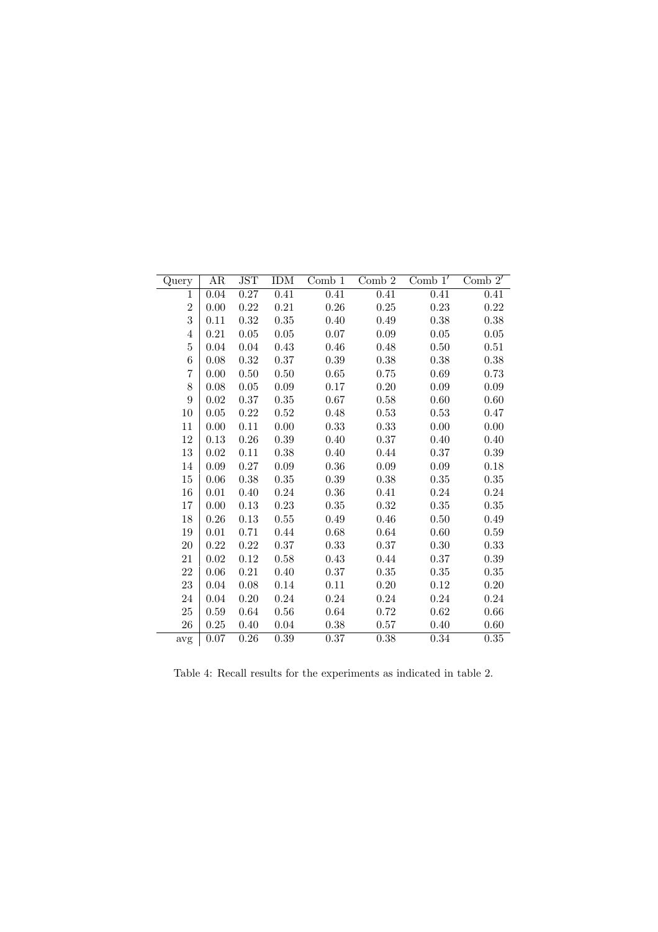| Query          | AR       | JST        | <b>IDM</b> | $Comb_1$ | Comb 2     | Comb $1'$ | Comb $2'$ |
|----------------|----------|------------|------------|----------|------------|-----------|-----------|
| $\mathbf{1}$   | 0.04     | 0.27       | 0.41       | 0.41     | 0.41       | 0.41      | 0.41      |
| $\overline{2}$ | 0.00     | $0.22\,$   | 0.21       | $0.26\,$ | $0.25\,$   | 0.23      | 0.22      |
| 3              | 0.11     | $\rm 0.32$ | $0.35\,$   | 0.40     | 0.49       | 0.38      | $0.38\,$  |
| $\overline{4}$ | 0.21     | 0.05       | 0.05       | 0.07     | 0.09       | 0.05      | 0.05      |
| $\overline{5}$ | 0.04     | 0.04       | 0.43       | 0.46     | 0.48       | 0.50      | 0.51      |
| 6              | 0.08     | 0.32       | $0.37\,$   | 0.39     | 0.38       | 0.38      | 0.38      |
| 7              | 0.00     | 0.50       | 0.50       | 0.65     | 0.75       | 0.69      | 0.73      |
| 8              | 0.08     | 0.05       | $0.09\,$   | 0.17     | $0.20\,$   | 0.09      | 0.09      |
| 9              | 0.02     | 0.37       | 0.35       | 0.67     | 0.58       | 0.60      | 0.60      |
| $10\,$         | 0.05     | 0.22       | $0.52\,$   | 0.48     | 0.53       | 0.53      | 0.47      |
| 11             | 0.00     | 0.11       | 0.00       | 0.33     | 0.33       | 0.00      | 0.00      |
| 12             | 0.13     | 0.26       | $0.39\,$   | 0.40     | $0.37\,$   | 0.40      | 0.40      |
| 13             | 0.02     | 0.11       | 0.38       | 0.40     | 0.44       | 0.37      | 0.39      |
| 14             | 0.09     | 0.27       | 0.09       | 0.36     | 0.09       | 0.09      | 0.18      |
| 15             | 0.06     | 0.38       | $0.35\,$   | 0.39     | 0.38       | 0.35      | 0.35      |
| 16             | 0.01     | 0.40       | 0.24       | 0.36     | 0.41       | 0.24      | 0.24      |
| 17             | 0.00     | 0.13       | 0.23       | 0.35     | 0.32       | 0.35      | 0.35      |
| 18             | 0.26     | 0.13       | 0.55       | 0.49     | 0.46       | 0.50      | 0.49      |
| $19\,$         | $0.01\,$ | 0.71       | 0.44       | $0.68\,$ | $\,0.64\,$ | 0.60      | 0.59      |
| $20\,$         | 0.22     | 0.22       | 0.37       | 0.33     | 0.37       | 0.30      | 0.33      |
| $21\,$         | 0.02     | 0.12       | 0.58       | 0.43     | 0.44       | 0.37      | 0.39      |
| $22\,$         | 0.06     | $0.21\,$   | 0.40       | 0.37     | $0.35\,$   | 0.35      | $0.35\,$  |
| $23\,$         | 0.04     | 0.08       | 0.14       | 0.11     | 0.20       | 0.12      | 0.20      |
| $24\,$         | 0.04     | 0.20       | 0.24       | 0.24     | 0.24       | 0.24      | 0.24      |
| $25\,$         | 0.59     | 0.64       | 0.56       | 0.64     | 0.72       | $0.62\,$  | 0.66      |
| 26             | 0.25     | 0.40       | 0.04       | 0.38     | 0.57       | 0.40      | 0.60      |
| avg            | 0.07     | 0.26       | 0.39       | 0.37     | 0.38       | 0.34      | 0.35      |

Table 4: Recall results for the experiments as indicated in table 2.